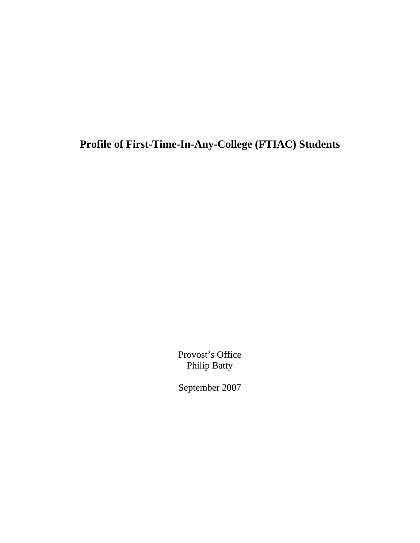**Profile of First-Time-In-Any-College (FTIAC) Students** 

Provost's Office Philip Batty

September 2007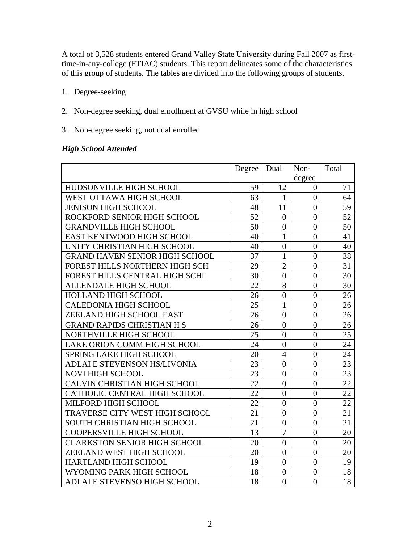A total of 3,528 students entered Grand Valley State University during Fall 2007 as firsttime-in-any-college (FTIAC) students. This report delineates some of the characteristics of this group of students. The tables are divided into the following groups of students.

- 1. Degree-seeking
- 2. Non-degree seeking, dual enrollment at GVSU while in high school
- 3. Non-degree seeking, not dual enrolled

#### *High School Attended*

|                                       | Degree | Dual           | Non-           | Total |
|---------------------------------------|--------|----------------|----------------|-------|
|                                       |        |                | degree         |       |
| HUDSONVILLE HIGH SCHOOL               | 59     | 12             | $\overline{0}$ | 71    |
| WEST OTTAWA HIGH SCHOOL               | 63     | $\mathbf{1}$   | $\overline{0}$ | 64    |
| <b>JENISON HIGH SCHOOL</b>            | 48     | 11             | $\overline{0}$ | 59    |
| ROCKFORD SENIOR HIGH SCHOOL           | 52     | $\overline{0}$ | $\overline{0}$ | 52    |
| <b>GRANDVILLE HIGH SCHOOL</b>         | 50     | $\overline{0}$ | $\overline{0}$ | 50    |
| EAST KENTWOOD HIGH SCHOOL             | 40     | $\mathbf{1}$   | $\overline{0}$ | 41    |
| UNITY CHRISTIAN HIGH SCHOOL           | 40     | $\overline{0}$ | $\overline{0}$ | 40    |
| <b>GRAND HAVEN SENIOR HIGH SCHOOL</b> | 37     | $\mathbf{1}$   | $\overline{0}$ | 38    |
| FOREST HILLS NORTHERN HIGH SCH        | 29     | $\overline{2}$ | $\overline{0}$ | 31    |
| FOREST HILLS CENTRAL HIGH SCHL        | 30     | $\overline{0}$ | $\overline{0}$ | 30    |
| ALLENDALE HIGH SCHOOL                 | 22     | 8              | $\overline{0}$ | 30    |
| HOLLAND HIGH SCHOOL                   | 26     | $\overline{0}$ | $\overline{0}$ | 26    |
| <b>CALEDONIA HIGH SCHOOL</b>          | 25     | $\mathbf{1}$   | $\overline{0}$ | 26    |
| ZEELAND HIGH SCHOOL EAST              | 26     | $\overline{0}$ | $\overline{0}$ | 26    |
| <b>GRAND RAPIDS CHRISTIAN H S</b>     | 26     | $\overline{0}$ | $\theta$       | 26    |
| NORTHVILLE HIGH SCHOOL                | 25     | $\overline{0}$ | $\overline{0}$ | 25    |
| LAKE ORION COMM HIGH SCHOOL           | 24     | $\overline{0}$ | $\overline{0}$ | 24    |
| <b>SPRING LAKE HIGH SCHOOL</b>        | 20     | $\overline{4}$ | $\overline{0}$ | 24    |
| ADLAI E STEVENSON HS/LIVONIA          | 23     | $\overline{0}$ | $\overline{0}$ | 23    |
| <b>NOVI HIGH SCHOOL</b>               | 23     | $\overline{0}$ | $\overline{0}$ | 23    |
| CALVIN CHRISTIAN HIGH SCHOOL          | 22     | $\overline{0}$ | $\overline{0}$ | 22    |
| CATHOLIC CENTRAL HIGH SCHOOL          | 22     | $\overline{0}$ | $\overline{0}$ | 22    |
| MILFORD HIGH SCHOOL                   | 22     | $\overline{0}$ | $\overline{0}$ | 22    |
| TRAVERSE CITY WEST HIGH SCHOOL        | 21     | $\overline{0}$ | $\overline{0}$ | 21    |
| <b>SOUTH CHRISTIAN HIGH SCHOOL</b>    | 21     | $\overline{0}$ | $\overline{0}$ | 21    |
| <b>COOPERSVILLE HIGH SCHOOL</b>       | 13     | $\overline{7}$ | $\overline{0}$ | 20    |
| <b>CLARKSTON SENIOR HIGH SCHOOL</b>   | 20     | $\overline{0}$ | $\overline{0}$ | 20    |
| ZEELAND WEST HIGH SCHOOL              | 20     | $\overline{0}$ | $\overline{0}$ | 20    |
| HARTLAND HIGH SCHOOL                  | 19     | $\overline{0}$ | $\overline{0}$ | 19    |
| WYOMING PARK HIGH SCHOOL              | 18     | $\overline{0}$ | $\overline{0}$ | 18    |
| <b>ADLAI E STEVENSO HIGH SCHOOL</b>   | 18     | $\overline{0}$ | $\overline{0}$ | 18    |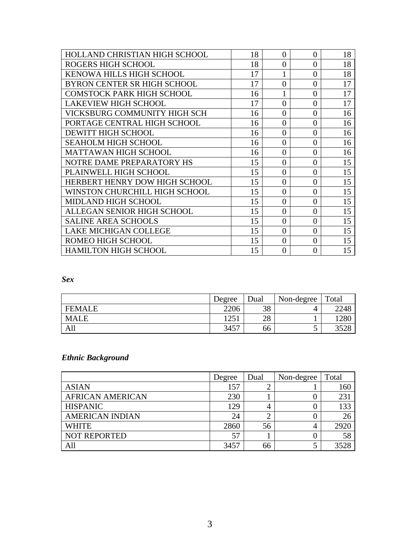| HOLLAND CHRISTIAN HIGH SCHOOL    | 18 | $\theta$ | $\overline{0}$ | 18 |
|----------------------------------|----|----------|----------------|----|
| <b>ROGERS HIGH SCHOOL</b>        | 18 | $\theta$ | $\theta$       | 18 |
| KENOWA HILLS HIGH SCHOOL         | 17 | 1        | $\theta$       | 18 |
| BYRON CENTER SR HIGH SCHOOL      | 17 | $\theta$ | $\theta$       | 17 |
| <b>COMSTOCK PARK HIGH SCHOOL</b> | 16 | 1        | $\theta$       | 17 |
| <b>LAKEVIEW HIGH SCHOOL</b>      | 17 | $\theta$ | $\overline{0}$ | 17 |
| VICKSBURG COMMUNITY HIGH SCH     | 16 | $\theta$ | $\overline{0}$ | 16 |
| PORTAGE CENTRAL HIGH SCHOOL      | 16 | $\theta$ | $\overline{0}$ | 16 |
| <b>DEWITT HIGH SCHOOL</b>        | 16 | $\theta$ | $\theta$       | 16 |
| <b>SEAHOLM HIGH SCHOOL</b>       | 16 | $\theta$ | $\theta$       | 16 |
| <b>MATTAWAN HIGH SCHOOL</b>      | 16 | $\theta$ | $\theta$       | 16 |
| NOTRE DAME PREPARATORY HS        | 15 | $\theta$ | $\theta$       | 15 |
| PLAINWELL HIGH SCHOOL            | 15 | $\theta$ | $\overline{0}$ | 15 |
| HERBERT HENRY DOW HIGH SCHOOL    | 15 | $\theta$ | $\theta$       | 15 |
| WINSTON CHURCHILL HIGH SCHOOL    | 15 | $\Omega$ | $\theta$       | 15 |
| <b>MIDLAND HIGH SCHOOL</b>       | 15 | $\theta$ | $\theta$       | 15 |
| ALLEGAN SENIOR HIGH SCHOOL       | 15 | $\theta$ | $\overline{0}$ | 15 |
| <b>SALINE AREA SCHOOLS</b>       | 15 | $\theta$ | $\theta$       | 15 |
| <b>LAKE MICHIGAN COLLEGE</b>     | 15 | $\theta$ | $\theta$       | 15 |
| ROMEO HIGH SCHOOL                | 15 | $\theta$ | $\theta$       | 15 |
| <b>HAMILTON HIGH SCHOOL</b>      | 15 | $\Omega$ | $\Omega$       | 15 |

#### *Sex*

|               | Degree | Dual | Non-degree | Total |
|---------------|--------|------|------------|-------|
| <b>FEMALE</b> | 2206   | 38   |            | 2248  |
| <b>MALE</b>   | 1251   | 28   |            | 1280  |
| All           | 3457   | 66   | ◡          | 3528  |

## *Ethnic Background*

|                         | Degree | Dual | Non-degree | Total |
|-------------------------|--------|------|------------|-------|
| <b>ASIAN</b>            | 157    |      |            | 160   |
| <b>AFRICAN AMERICAN</b> | 230    |      |            | 231   |
| <b>HISPANIC</b>         | 129    |      |            | 133   |
| <b>AMERICAN INDIAN</b>  | 24     |      |            | 26    |
| <b>WHITE</b>            | 2860   | 56   |            | 2920  |
| <b>NOT REPORTED</b>     | 57     |      |            | 58    |
| All                     | 3457   | 66   |            | 3528  |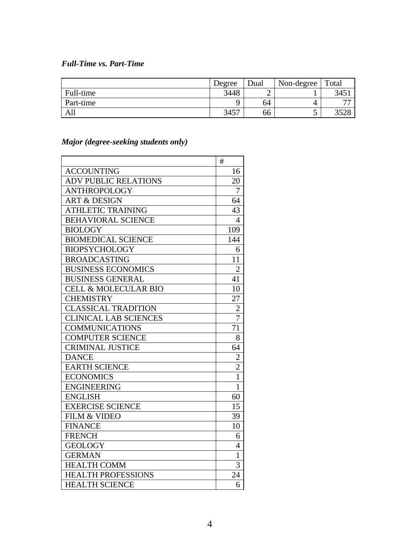### *Full-Time vs. Part-Time*

|           | Degree | Dual | Non-degree | Total |
|-----------|--------|------|------------|-------|
| Full-time | 3448   |      |            | 345   |
| Part-time |        | 64   |            | ~~    |
| All       | 3457   | 66   | ັ          |       |

## *Major (degree-seeking students only)*

|                                 | #              |
|---------------------------------|----------------|
| <b>ACCOUNTING</b>               | 16             |
| <b>ADV PUBLIC RELATIONS</b>     | 20             |
| <b>ANTHROPOLOGY</b>             | 7              |
| <b>ART &amp; DESIGN</b>         | 64             |
| <b>ATHLETIC TRAINING</b>        | 43             |
| <b>BEHAVIORAL SCIENCE</b>       | 4              |
| <b>BIOLOGY</b>                  | 109            |
| <b>BIOMEDICAL SCIENCE</b>       | 144            |
| <b>BIOPSYCHOLOGY</b>            | 6              |
| <b>BROADCASTING</b>             | 11             |
| <b>BUSINESS ECONOMICS</b>       | $\overline{2}$ |
| <b>BUSINESS GENERAL</b>         | 41             |
| <b>CELL &amp; MOLECULAR BIO</b> | 10             |
| <b>CHEMISTRY</b>                | 27             |
| <b>CLASSICAL TRADITION</b>      | $\overline{2}$ |
| <b>CLINICAL LAB SCIENCES</b>    | $\overline{7}$ |
| <b>COMMUNICATIONS</b>           | 71             |
| <b>COMPUTER SCIENCE</b>         | 8              |
| <b>CRIMINAL JUSTICE</b>         | 64             |
| <b>DANCE</b>                    | $\overline{2}$ |
| <b>EARTH SCIENCE</b>            | $\overline{c}$ |
| <b>ECONOMICS</b>                | $\overline{1}$ |
| <b>ENGINEERING</b>              | $\mathbf{1}$   |
| <b>ENGLISH</b>                  | 60             |
| <b>EXERCISE SCIENCE</b>         | 15             |
| FILM & VIDEO                    | 39             |
| <b>FINANCE</b>                  | 10             |
| <b>FRENCH</b>                   | 6              |
| <b>GEOLOGY</b>                  | $\overline{4}$ |
| <b>GERMAN</b>                   | $\mathbf{1}$   |
| <b>HEALTH COMM</b>              | 3              |
| <b>HEALTH PROFESSIONS</b>       | 24             |
| <b>HEALTH SCIENCE</b>           | 6              |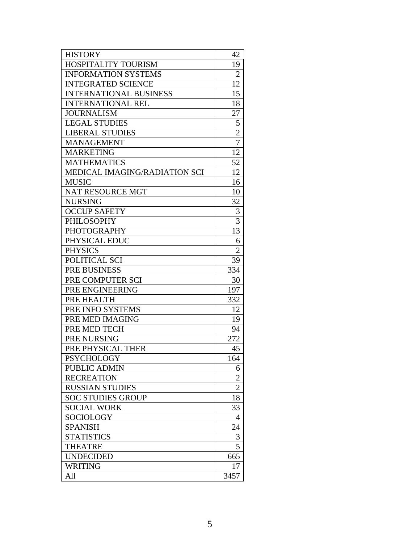| <b>HISTORY</b>                | 42             |
|-------------------------------|----------------|
| <b>HOSPITALITY TOURISM</b>    | 19             |
| <b>INFORMATION SYSTEMS</b>    | $\overline{2}$ |
| <b>INTEGRATED SCIENCE</b>     | 12             |
| <b>INTERNATIONAL BUSINESS</b> | 15             |
| <b>INTERNATIONAL REL</b>      | 18             |
| <b>JOURNALISM</b>             | 27             |
| <b>LEGAL STUDIES</b>          | 5              |
| <b>LIBERAL STUDIES</b>        | $\overline{c}$ |
| <b>MANAGEMENT</b>             | 7              |
| <b>MARKETING</b>              | 12             |
| <b>MATHEMATICS</b>            | 52             |
| MEDICAL IMAGING/RADIATION SCI | 12             |
| <b>MUSIC</b>                  | 16             |
| <b>NAT RESOURCE MGT</b>       | 10             |
| <b>NURSING</b>                | 32             |
| <b>OCCUP SAFETY</b>           | 3              |
| <b>PHILOSOPHY</b>             | $\overline{3}$ |
| <b>PHOTOGRAPHY</b>            | 13             |
| PHYSICAL EDUC                 | 6              |
| <b>PHYSICS</b>                | $\overline{2}$ |
| POLITICAL SCI                 | 39             |
| PRE BUSINESS                  | 334            |
| PRE COMPUTER SCI              | 30             |
| PRE ENGINEERING               | 197            |
| PRE HEALTH                    | 332            |
| PRE INFO SYSTEMS              | 12             |
| PRE MED IMAGING               | 19             |
| PRE MED TECH                  | 94             |
| PRE NURSING                   | 272            |
| PRE PHYSICAL THER             | 45             |
| <b>PSYCHOLOGY</b>             | 164            |
| <b>PUBLIC ADMIN</b>           | 6              |
| <b>RECREATION</b>             | $\overline{2}$ |
| <b>RUSSIAN STUDIES</b>        | $\overline{2}$ |
| <b>SOC STUDIES GROUP</b>      | 18             |
| <b>SOCIAL WORK</b>            | 33             |
| SOCIOLOGY                     | 4              |
| <b>SPANISH</b>                | 24             |
| <b>STATISTICS</b>             | 3              |
| <b>THEATRE</b>                | 5              |
| <b>UNDECIDED</b>              | 665            |
| <b>WRITING</b>                | 17             |
| All                           | 3457           |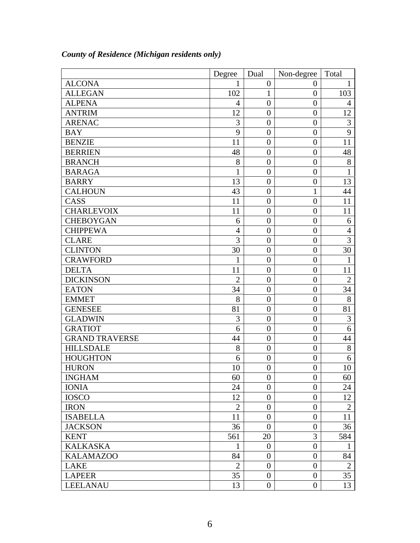|                       | Degree          | Dual             | Non-degree       | Total          |
|-----------------------|-----------------|------------------|------------------|----------------|
| <b>ALCONA</b>         | 1               | $\overline{0}$   | $\boldsymbol{0}$ | 1              |
| <b>ALLEGAN</b>        | 102             | $\mathbf{1}$     | $\boldsymbol{0}$ | 103            |
| <b>ALPENA</b>         | $\overline{4}$  | $\overline{0}$   | $\boldsymbol{0}$ | $\overline{4}$ |
| <b>ANTRIM</b>         | 12              | $\overline{0}$   | $\overline{0}$   | 12             |
| <b>ARENAC</b>         | 3               | $\overline{0}$   | $\boldsymbol{0}$ | 3              |
| <b>BAY</b>            | 9               | $\theta$         | $\overline{0}$   | 9              |
| <b>BENZIE</b>         | 11              | $\overline{0}$   | $\overline{0}$   | 11             |
| <b>BERRIEN</b>        | 48              | $\overline{0}$   | $\boldsymbol{0}$ | 48             |
| <b>BRANCH</b>         | 8               | $\overline{0}$   | $\overline{0}$   | 8              |
| <b>BARAGA</b>         | $\mathbf{1}$    | $\overline{0}$   | $\boldsymbol{0}$ | 1              |
| <b>BARRY</b>          | 13              | $\overline{0}$   | $\overline{0}$   | 13             |
| <b>CALHOUN</b>        | 43              | $\overline{0}$   | $\mathbf{1}$     | 44             |
| CASS                  | 11              | $\overline{0}$   | $\boldsymbol{0}$ | 11             |
| <b>CHARLEVOIX</b>     | 11              | $\overline{0}$   | $\overline{0}$   | 11             |
| <b>CHEBOYGAN</b>      | 6               | $\overline{0}$   | $\overline{0}$   | 6              |
| <b>CHIPPEWA</b>       | $\overline{4}$  | $\overline{0}$   | $\boldsymbol{0}$ | $\overline{4}$ |
| <b>CLARE</b>          | 3               | $\overline{0}$   | $\overline{0}$   | 3              |
| <b>CLINTON</b>        | 30              | $\overline{0}$   | $\boldsymbol{0}$ | 30             |
| <b>CRAWFORD</b>       | 1               | $\overline{0}$   | $\boldsymbol{0}$ | $\mathbf{1}$   |
| <b>DELTA</b>          | 11              | $\overline{0}$   | $\boldsymbol{0}$ | 11             |
| <b>DICKINSON</b>      | $\overline{2}$  | $\overline{0}$   | $\overline{0}$   | $\overline{2}$ |
| <b>EATON</b>          | 34              | $\overline{0}$   | $\overline{0}$   | 34             |
| <b>EMMET</b>          | 8               | $\overline{0}$   | $\boldsymbol{0}$ | 8              |
| <b>GENESEE</b>        | 81              | $\overline{0}$   | $\overline{0}$   | 81             |
| <b>GLADWIN</b>        | 3               | $\overline{0}$   | $\overline{0}$   | 3              |
| <b>GRATIOT</b>        | 6               | $\overline{0}$   | $\overline{0}$   | 6              |
| <b>GRAND TRAVERSE</b> | 44              | $\overline{0}$   | $\overline{0}$   | 44             |
| <b>HILLSDALE</b>      | 8               | $\overline{0}$   | $\overline{0}$   | 8              |
| <b>HOUGHTON</b>       | 6               | $\overline{0}$   | $\overline{0}$   | 6              |
| <b>HURON</b>          | 10              | $\overline{0}$   | $\boldsymbol{0}$ | 10             |
| <b>INGHAM</b>         | $\overline{60}$ | $\overline{0}$   | $\overline{0}$   | 60             |
| <b>IONIA</b>          | 24              | $\theta$         | $\boldsymbol{0}$ | 24             |
| <b>IOSCO</b>          | 12              | $\overline{0}$   | $\boldsymbol{0}$ | 12             |
| <b>IRON</b>           | $\overline{2}$  | $\theta$         | $\boldsymbol{0}$ | $\overline{2}$ |
| <b>ISABELLA</b>       | 11              | $\overline{0}$   | $\boldsymbol{0}$ | 11             |
| <b>JACKSON</b>        | 36              | $\overline{0}$   | $\boldsymbol{0}$ | 36             |
| <b>KENT</b>           | 561             | 20               | 3                | 584            |
| <b>KALKASKA</b>       | $\mathbf{1}$    | $\overline{0}$   | $\boldsymbol{0}$ | 1              |
| <b>KALAMAZOO</b>      | 84              | $\overline{0}$   | $\boldsymbol{0}$ | 84             |
| <b>LAKE</b>           | $\overline{2}$  | $\overline{0}$   | $\boldsymbol{0}$ | $\overline{2}$ |
| <b>LAPEER</b>         | 35              | $\overline{0}$   | $\overline{0}$   | 35             |
| <b>LEELANAU</b>       | 13              | $\boldsymbol{0}$ | $\boldsymbol{0}$ | 13             |

## *County of Residence (Michigan residents only)*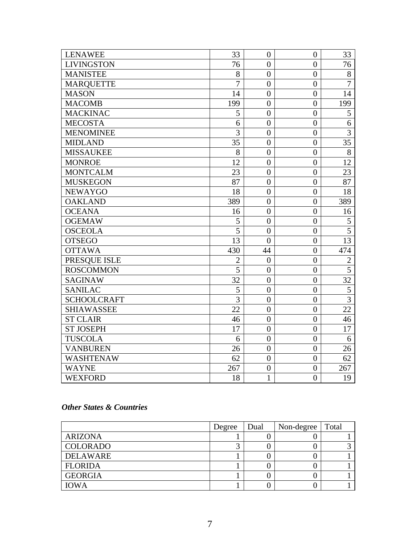| <b>LENAWEE</b>     | 33             | $\boldsymbol{0}$ | $\overline{0}$   | 33             |
|--------------------|----------------|------------------|------------------|----------------|
| <b>LIVINGSTON</b>  | 76             | $\boldsymbol{0}$ | $\overline{0}$   | 76             |
| <b>MANISTEE</b>    | 8              | $\overline{0}$   | $\overline{0}$   | 8              |
| <b>MARQUETTE</b>   | $\overline{7}$ | $\overline{0}$   | $\overline{0}$   | 7              |
| <b>MASON</b>       | 14             | $\overline{0}$   | $\overline{0}$   | 14             |
| <b>MACOMB</b>      | 199            | $\boldsymbol{0}$ | $\overline{0}$   | 199            |
| <b>MACKINAC</b>    | 5              | $\overline{0}$   | $\overline{0}$   | 5              |
| <b>MECOSTA</b>     | 6              | $\overline{0}$   | $\overline{0}$   | 6              |
| <b>MENOMINEE</b>   | 3              | $\overline{0}$   | $\overline{0}$   | 3              |
| <b>MIDLAND</b>     | 35             | $\overline{0}$   | $\overline{0}$   | 35             |
| <b>MISSAUKEE</b>   | 8              | $\boldsymbol{0}$ | $\boldsymbol{0}$ | 8              |
| <b>MONROE</b>      | 12             | $\overline{0}$   | $\overline{0}$   | 12             |
| <b>MONTCALM</b>    | 23             | $\overline{0}$   | $\overline{0}$   | 23             |
| <b>MUSKEGON</b>    | 87             | $\overline{0}$   | $\overline{0}$   | 87             |
| <b>NEWAYGO</b>     | 18             | $\boldsymbol{0}$ | $\boldsymbol{0}$ | 18             |
| <b>OAKLAND</b>     | 389            | $\boldsymbol{0}$ | $\boldsymbol{0}$ | 389            |
| <b>OCEANA</b>      | 16             | $\overline{0}$   | $\overline{0}$   | 16             |
| <b>OGEMAW</b>      | 5              | $\overline{0}$   | $\overline{0}$   | 5              |
| <b>OSCEOLA</b>     | $\overline{5}$ | $\overline{0}$   | $\overline{0}$   | $\overline{5}$ |
| <b>OTSEGO</b>      | 13             | $\overline{0}$   | $\overline{0}$   | 13             |
| <b>OTTAWA</b>      | 430            | 44               | $\overline{0}$   | 474            |
| PRESQUE ISLE       | $\overline{2}$ | $\overline{0}$   | $\overline{0}$   | $\overline{2}$ |
| <b>ROSCOMMON</b>   | 5              | $\overline{0}$   | $\overline{0}$   | 5              |
| <b>SAGINAW</b>     | 32             | $\overline{0}$   | $\overline{0}$   | 32             |
| <b>SANILAC</b>     | 5              | $\boldsymbol{0}$ | $\overline{0}$   | 5              |
| <b>SCHOOLCRAFT</b> | $\overline{3}$ | $\overline{0}$   | $\overline{0}$   | $\overline{3}$ |
| <b>SHIAWASSEE</b>  | 22             | $\overline{0}$   | $\overline{0}$   | 22             |
| <b>ST CLAIR</b>    | 46             | $\overline{0}$   | $\overline{0}$   | 46             |
| <b>ST JOSEPH</b>   | 17             | $\overline{0}$   | $\overline{0}$   | 17             |
| <b>TUSCOLA</b>     | 6              | $\boldsymbol{0}$ | $\overline{0}$   | 6              |
| <b>VANBUREN</b>    | 26             | $\overline{0}$   | $\overline{0}$   | 26             |
| <b>WASHTENAW</b>   | 62             | $\overline{0}$   | $\overline{0}$   | 62             |
| <b>WAYNE</b>       | 267            | $\overline{0}$   | $\overline{0}$   | 267            |
| <b>WEXFORD</b>     | 18             | $\mathbf{1}$     | $\overline{0}$   | 19             |

#### *Other States & Countries*

|                 | Degree | Dual | Non-degree | Total |
|-----------------|--------|------|------------|-------|
| <b>ARIZONA</b>  |        |      |            |       |
| <b>COLORADO</b> |        |      |            |       |
| DELAWARE        |        |      |            |       |
| <b>FLORIDA</b>  |        |      |            |       |
| <b>GEORGIA</b>  |        |      |            |       |
| <b>IOWA</b>     |        |      |            |       |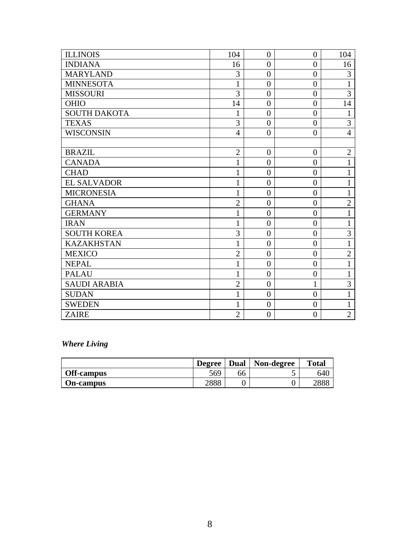| <b>ILLINOIS</b>     | 104            | $\theta$       | $\theta$       | 104            |
|---------------------|----------------|----------------|----------------|----------------|
| <b>INDIANA</b>      | 16             | $\overline{0}$ | $\overline{0}$ | 16             |
| <b>MARYLAND</b>     | 3              | $\overline{0}$ | $\overline{0}$ | 3              |
| <b>MINNESOTA</b>    | $\mathbf{1}$   | $\overline{0}$ | $\overline{0}$ | $\mathbf{1}$   |
| <b>MISSOURI</b>     | 3              | $\overline{0}$ | $\overline{0}$ | 3              |
| <b>OHIO</b>         | 14             | $\overline{0}$ | $\overline{0}$ | 14             |
| <b>SOUTH DAKOTA</b> | 1              | $\overline{0}$ | $\overline{0}$ | 1              |
| <b>TEXAS</b>        | 3              | $\overline{0}$ | $\overline{0}$ | 3              |
| <b>WISCONSIN</b>    | $\overline{4}$ | $\overline{0}$ | $\overline{0}$ | $\overline{4}$ |
|                     |                |                |                |                |
| <b>BRAZIL</b>       | $\overline{2}$ | $\theta$       | $\theta$       | $\overline{2}$ |
| <b>CANADA</b>       | $\mathbf{1}$   | $\overline{0}$ | $\overline{0}$ | $\mathbf{1}$   |
| <b>CHAD</b>         |                | $\overline{0}$ | $\overline{0}$ | 1              |
| <b>EL SALVADOR</b>  |                | $\overline{0}$ | $\overline{0}$ | 1              |
| <b>MICRONESIA</b>   | $\mathbf{1}$   | $\overline{0}$ | $\overline{0}$ | $\mathbf{1}$   |
| <b>GHANA</b>        | $\overline{2}$ | $\overline{0}$ | $\overline{0}$ | $\overline{2}$ |
| <b>GERMANY</b>      | 1              | $\overline{0}$ | $\overline{0}$ | $\mathbf{1}$   |
| <b>IRAN</b>         | 1              | $\overline{0}$ | $\overline{0}$ | $\mathbf{1}$   |
| <b>SOUTH KOREA</b>  | 3              | $\overline{0}$ | $\overline{0}$ | 3              |
| <b>KAZAKHSTAN</b>   | $\mathbf{1}$   | $\overline{0}$ | $\overline{0}$ | $\mathbf{1}$   |
| <b>MEXICO</b>       | $\overline{2}$ | $\overline{0}$ | $\overline{0}$ | $\overline{2}$ |
| <b>NEPAL</b>        | 1              | $\overline{0}$ | $\overline{0}$ | $\mathbf{1}$   |
| <b>PALAU</b>        | 1              | $\overline{0}$ | $\overline{0}$ | $\mathbf{1}$   |
| <b>SAUDI ARABIA</b> | $\overline{2}$ | $\overline{0}$ | $\mathbf{1}$   | 3              |
| <b>SUDAN</b>        | $\mathbf{1}$   | $\overline{0}$ | $\overline{0}$ | $\mathbf{1}$   |
| <b>SWEDEN</b>       | 1              | $\overline{0}$ | $\overline{0}$ | $\mathbf{1}$   |
| <b>ZAIRE</b>        | $\overline{2}$ | $\overline{0}$ | $\overline{0}$ | $\overline{2}$ |

## *Where Living*

|                   | <b>Degree</b> | <b>Dual</b> | Non-degree | <b>Total</b> |
|-------------------|---------------|-------------|------------|--------------|
| <b>Off-campus</b> | 569           | 66          | ັ          | 640          |
| <b>On-campus</b>  | 2888          |             |            | 2888         |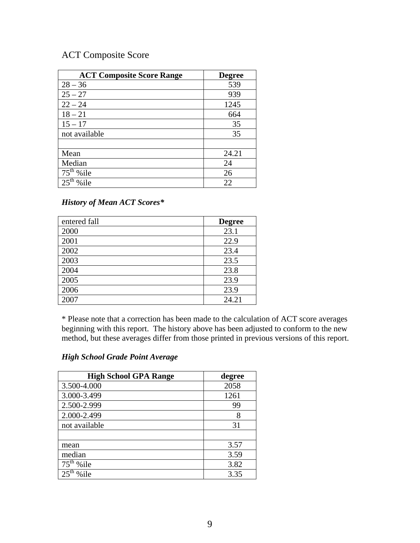# ACT Composite Score

| <b>ACT Composite Score Range</b> | <b>Degree</b> |
|----------------------------------|---------------|
| $28 - 36$                        | 539           |
| $25 - 27$                        | 939           |
| $22 - 24$                        | 1245          |
| $18 - 21$                        | 664           |
| $15 - 17$                        | 35            |
| not available                    | 35            |
|                                  |               |
| Mean                             | 24.21         |
| Median                           | 24            |
| $75th$ % ile                     | 26            |
| %ile                             | 22            |

#### *History of Mean ACT Scores\**

| entered fall | <b>Degree</b> |
|--------------|---------------|
| 2000         | 23.1          |
| 2001         | 22.9          |
| 2002         | 23.4          |
| 2003         | 23.5          |
| 2004         | 23.8          |
| 2005         | 23.9          |
| 2006         | 23.9          |
| 2007         | 24.21         |

\* Please note that a correction has been made to the calculation of ACT score averages beginning with this report. The history above has been adjusted to conform to the new method, but these averages differ from those printed in previous versions of this report.

#### *High School Grade Point Average*

| <b>High School GPA Range</b> | degree |
|------------------------------|--------|
| 3.500-4.000                  | 2058   |
| 3.000-3.499                  | 1261   |
| 2.500-2.999                  | 99     |
| 2.000-2.499                  | 8      |
| not available                | 31     |
|                              |        |
| mean                         | 3.57   |
| median                       | 3.59   |
| $75th$ %ile                  | 3.82   |
| $%$ ile                      | 3.35   |